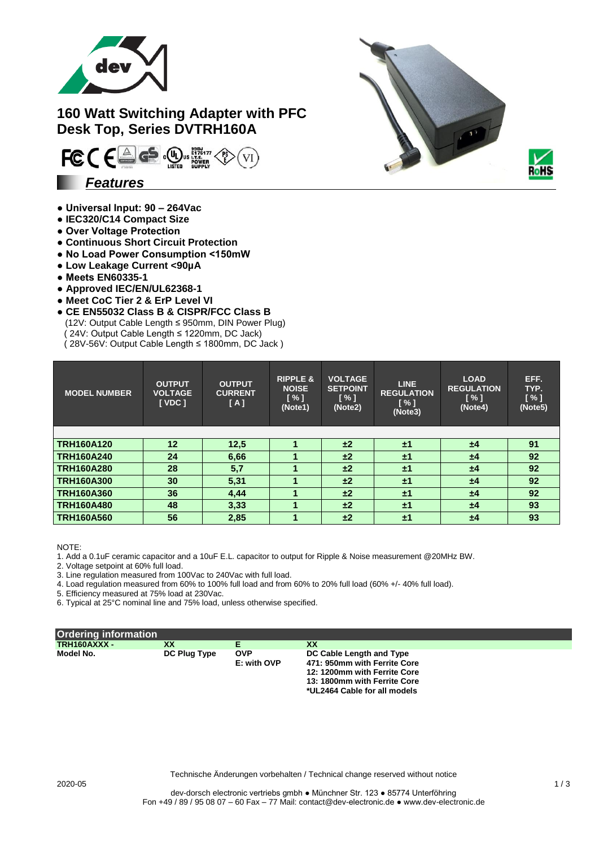

# **160 Watt Switching Adapter with PFC Desk Top, Series DVTRH160A**



## **● Universal Input: 90 – 264Vac**

- **IEC320/C14 Compact Size**
- **Over Voltage Protection**
- **Continuous Short Circuit Protection**
- **No Load Power Consumption <150mW**
- **Low Leakage Current <90µA**
- **Meets EN60335-1**
- **Approved IEC/EN/UL62368-1**
- **Meet CoC Tier 2 & ErP Level VI**
- **CE EN55032 Class B & CISPR/FCC Class B** (12V: Output Cable Length ≤ 950mm, DIN Power Plug) ( 24V: Output Cable Length ≤ 1220mm, DC Jack) ( 28V-56V: Output Cable Length ≤ 1800mm, DC Jack )

| <b>MODEL NUMBER</b> | <b>OUTPUT</b><br><b>VOLTAGE</b><br>[VDC] | <b>OUTPUT</b><br><b>CURRENT</b><br>[A] | <b>RIPPLE &amp;</b><br><b>NOISE</b><br>$N \$<br>(Note1) | <b>VOLTAGE</b><br><b>SETPOINT</b><br>$\lceil \% \rceil$<br>(Note2) | <b>LINE</b><br><b>REGULATION</b><br>$\lceil \% \rceil$<br>(Note3) | <b>LOAD</b><br><b>REGULATION</b><br>$\sqrt{3}$<br>(Note4) | EFF.<br>TYP.<br>[ % ]<br>(Note5) |
|---------------------|------------------------------------------|----------------------------------------|---------------------------------------------------------|--------------------------------------------------------------------|-------------------------------------------------------------------|-----------------------------------------------------------|----------------------------------|
|                     |                                          |                                        |                                                         |                                                                    |                                                                   |                                                           |                                  |
| <b>TRH160A120</b>   | 12                                       | 12,5                                   |                                                         | ±2                                                                 | ±1                                                                | $\pm 4$                                                   | 91                               |
| <b>TRH160A240</b>   | 24                                       | 6,66                                   |                                                         | ±2                                                                 | ±1                                                                | $\pm 4$                                                   | 92                               |
| <b>TRH160A280</b>   | 28                                       | 5,7                                    |                                                         | ±2                                                                 | ±1                                                                | ±4                                                        | 92                               |
| <b>TRH160A300</b>   | 30                                       | 5,31                                   |                                                         | ±2                                                                 | ±1                                                                | ±4                                                        | 92                               |
| <b>TRH160A360</b>   | 36                                       | 4,44                                   |                                                         | ±2                                                                 | ±1                                                                | ±4                                                        | 92                               |
| <b>TRH160A480</b>   | 48                                       | 3,33                                   |                                                         | ±2                                                                 | ±1                                                                | $\pm 4$                                                   | 93                               |
| <b>TRH160A560</b>   | 56                                       | 2,85                                   |                                                         | ±2                                                                 | ±1                                                                | $\pm 4$                                                   | 93                               |

#### NOTE:

1. Add a 0.1uF ceramic capacitor and a 10uF E.L. capacitor to output for Ripple & Noise measurement @20MHz BW.

2. Voltage setpoint at 60% full load.

3. Line regulation measured from 100Vac to 240Vac with full load.

4. Load regulation measured from 60% to 100% full load and from 60% to 20% full load (60% +/- 40% full load).

5. Efficiency measured at 75% load at 230Vac.

6. Typical at 25°C nominal line and 75% load, unless otherwise specified.

| <b>Ordering information</b> |              |                           |                                                                                                                                                          |
|-----------------------------|--------------|---------------------------|----------------------------------------------------------------------------------------------------------------------------------------------------------|
| TRH160AXXX -                | XX           |                           | XX                                                                                                                                                       |
| Model No.                   | DC Plug Type | <b>OVP</b><br>E: with OVP | DC Cable Length and Type<br>471: 950mm with Ferrite Core<br>12: 1200mm with Ferrite Core<br>13: 1800mm with Ferrite Core<br>*UL2464 Cable for all models |



Technische Änderungen vorbehalten / Technical change reserved without notice

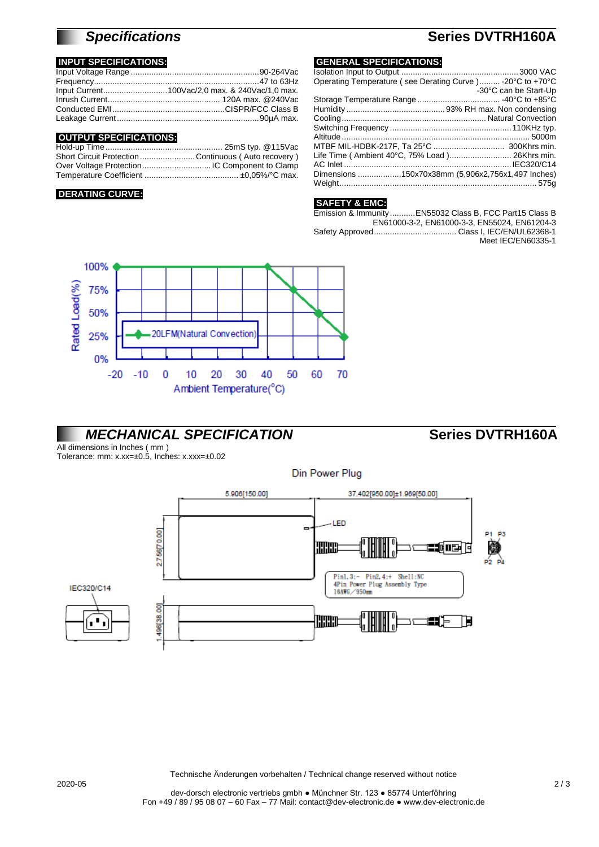# *Specifications* **Series DVTRH160A**

## **INPUT SPECIFICATIONS:**

## **OUTPUT SPECIFICATIONS:**

| Short Circuit Protection Continuous (Auto recovery) |  |
|-----------------------------------------------------|--|
|                                                     |  |
|                                                     |  |
|                                                     |  |

### **DERATING CURVE:**

## **GENERAL SPECIFICATIONS:**

| Operating Temperature (see Derating Curve ) - 20°C to +70°C |                       |
|-------------------------------------------------------------|-----------------------|
|                                                             | -30°C can be Start-Up |
|                                                             |                       |
|                                                             |                       |
|                                                             |                       |
|                                                             |                       |
|                                                             |                       |
|                                                             |                       |
| Life Time (Ambient 40°C, 75% Load) 26Khrs min.              |                       |
|                                                             |                       |
| Dimensions 150x70x38mm (5,906x2,756x1,497 Inches)           |                       |
|                                                             |                       |
|                                                             |                       |

### **SAFETY & EMC:**

| Emission & ImmunityEN55032 Class B, FCC Part15 Class B |
|--------------------------------------------------------|
| EN61000-3-2, EN61000-3-3, EN55024, EN61204-3           |
|                                                        |
| Meet IEC/EN60335-1                                     |
|                                                        |



# *MECHANICAL SPECIFICATION* **Series DVTRH160A**

All dimensions in Inches ( mm )

Tolerance: mm: x.xx=±0.5, Inches: x.xxx=±0.02



Technische Änderungen vorbehalten / Technical change reserved without notice